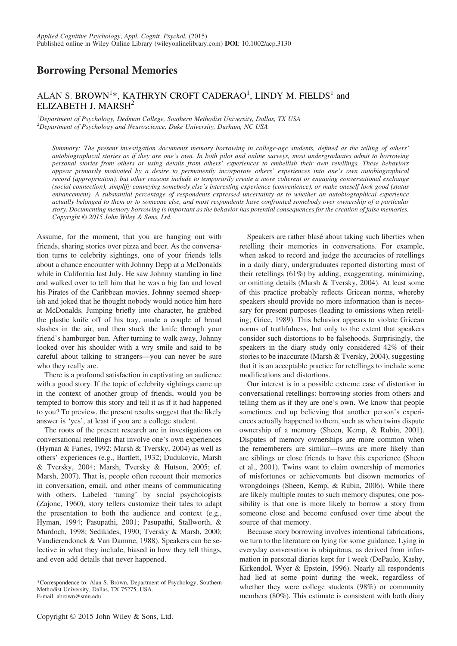# Borrowing Personal Memories

## ALAN S. BROWN<sup>1</sup>\*, KATHRYN CROFT CADERAO<sup>1</sup>, LINDY M. FIELDS<sup>1</sup> and ELIZABETH J. MARSH2

<sup>1</sup>Department of Psychology, Dedman College, Southern Methodist University, Dallas, TX USA  $^{2}$ Department of Psychology and Neuroscience, Duke University, Durham, NC USA

Summary: The present investigation documents memory borrowing in college-age students, defined as the telling of others' autobiographical stories as if they are one's own. In both pilot and online surveys, most undergraduates admit to borrowing personal stories from others or using details from others' experiences to embellish their own retellings. These behaviors appear primarily motivated by a desire to permanently incorporate others' experiences into one's own autobiographical record (appropriation), but other reasons include to temporarily create a more coherent or engaging conversational exchange (social connection), simplify conveying somebody else's interesting experience (convenience), or make oneself look good (status enhancement). A substantial percentage of respondents expressed uncertainty as to whether an autobiographical experience actually belonged to them or to someone else, and most respondents have confronted somebody over ownership of a particular story. Documenting memory borrowing is important as the behavior has potential consequences for the creation of false memories. Copyright © 2015 John Wiley & Sons, Ltd.

Assume, for the moment, that you are hanging out with friends, sharing stories over pizza and beer. As the conversation turns to celebrity sightings, one of your friends tells about a chance encounter with Johnny Depp at a McDonalds while in California last July. He saw Johnny standing in line and walked over to tell him that he was a big fan and loved his Pirates of the Caribbean movies. Johnny seemed sheepish and joked that he thought nobody would notice him here at McDonalds. Jumping briefly into character, he grabbed the plastic knife off of his tray, made a couple of broad slashes in the air, and then stuck the knife through your friend's hamburger bun. After turning to walk away, Johnny looked over his shoulder with a wry smile and said to be careful about talking to strangers—you can never be sure who they really are.

There is a profound satisfaction in captivating an audience with a good story. If the topic of celebrity sightings came up in the context of another group of friends, would you be tempted to borrow this story and tell it as if it had happened to you? To preview, the present results suggest that the likely answer is 'yes', at least if you are a college student.

The roots of the present research are in investigations on conversational retellings that involve one's own experiences (Hyman & Faries, 1992; Marsh & Tversky, 2004) as well as others' experiences (e.g., Bartlett, 1932; Dudukovic, Marsh & Tversky, 2004; Marsh, Tversky & Hutson, 2005; cf. Marsh, 2007). That is, people often recount their memories in conversation, email, and other means of communicating with others. Labeled 'tuning' by social psychologists (Zajonc, 1960), story tellers customize their tales to adapt the presentation to both the audience and context (e.g., Hyman, 1994; Pasupathi, 2001; Pasupathi, Stallworth, & Murdoch, 1998; Sedikides, 1990; Tversky & Marsh, 2000; Vandierendonck & Van Damme, 1988). Speakers can be selective in what they include, biased in how they tell things, and even add details that never happened.

\*Correspondence to: Alan S. Brown, Department of Psychology, Southern Methodist University, Dallas, TX 75275, USA. E-mail: abrown@smu.edu

Speakers are rather blasé about taking such liberties when retelling their memories in conversations. For example, when asked to record and judge the accuracies of retellings in a daily diary, undergraduates reported distorting most of their retellings (61%) by adding, exaggerating, minimizing, or omitting details (Marsh & Tversky, 2004). At least some of this practice probably reflects Gricean norms, whereby speakers should provide no more information than is necessary for present purposes (leading to omissions when retelling; Grice, 1989). This behavior appears to violate Gricean norms of truthfulness, but only to the extent that speakers consider such distortions to be falsehoods. Surprisingly, the speakers in the diary study only considered 42% of their stories to be inaccurate (Marsh & Tversky, 2004), suggesting that it is an acceptable practice for retellings to include some modifications and distortions.

Our interest is in a possible extreme case of distortion in conversational retellings: borrowing stories from others and telling them as if they are one's own. We know that people sometimes end up believing that another person's experiences actually happened to them, such as when twins dispute ownership of a memory (Sheen, Kemp, & Rubin, 2001). Disputes of memory ownerships are more common when the rememberers are similar—twins are more likely than are siblings or close friends to have this experience (Sheen et al., 2001). Twins want to claim ownership of memories of misfortunes or achievements but disown memories of wrongdoings (Sheen, Kemp, & Rubin, 2006). While there are likely multiple routes to such memory disputes, one possibility is that one is more likely to borrow a story from someone close and become confused over time about the source of that memory.

Because story borrowing involves intentional fabrications, we turn to the literature on lying for some guidance. Lying in everyday conversation is ubiquitous, as derived from information in personal diaries kept for 1 week (DePaulo, Kashy, Kirkendol, Wyer & Epstein, 1996). Nearly all respondents had lied at some point during the week, regardless of whether they were college students (98%) or community members (80%). This estimate is consistent with both diary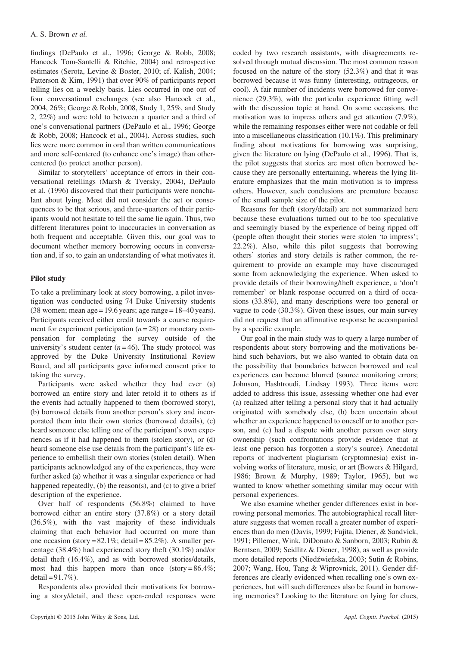findings (DePaulo et al., 1996; George & Robb, 2008; Hancock Tom-Santelli & Ritchie, 2004) and retrospective estimates (Serota, Levine & Boster, 2010; cf. Kalish, 2004; Patterson & Kim, 1991) that over 90% of participants report telling lies on a weekly basis. Lies occurred in one out of four conversational exchanges (see also Hancock et al., 2004, 26%; George & Robb, 2008, Study 1, 25%, and Study 2, 22%) and were told to between a quarter and a third of one's conversational partners (DePaulo et al., 1996; George & Robb, 2008; Hancock et al., 2004). Across studies, such lies were more common in oral than written communications and more self-centered (to enhance one's image) than othercentered (to protect another person).

Similar to storytellers' acceptance of errors in their conversational retellings (Marsh & Tversky, 2004), DePaulo et al. (1996) discovered that their participants were nonchalant about lying. Most did not consider the act or consequences to be that serious, and three-quarters of their participants would not hesitate to tell the same lie again. Thus, two different literatures point to inaccuracies in conversation as both frequent and acceptable. Given this, our goal was to document whether memory borrowing occurs in conversation and, if so, to gain an understanding of what motivates it.

## Pilot study

To take a preliminary look at story borrowing, a pilot investigation was conducted using 74 Duke University students (38 women; mean age =  $19.6$  years; age range =  $18-40$  years). Participants received either credit towards a course requirement for experiment participation  $(n = 28)$  or monetary compensation for completing the survey outside of the university's student center  $(n=46)$ . The study protocol was approved by the Duke University Institutional Review Board, and all participants gave informed consent prior to taking the survey.

Participants were asked whether they had ever (a) borrowed an entire story and later retold it to others as if the events had actually happened to them (borrowed story), (b) borrowed details from another person's story and incorporated them into their own stories (borrowed details), (c) heard someone else telling one of the participant's own experiences as if it had happened to them (stolen story), or (d) heard someone else use details from the participant's life experience to embellish their own stories (stolen detail). When participants acknowledged any of the experiences, they were further asked (a) whether it was a singular experience or had happened repeatedly, (b) the reason(s), and (c) to give a brief description of the experience.

Over half of respondents (56.8%) claimed to have borrowed either an entire story (37.8%) or a story detail (36.5%), with the vast majority of these individuals claiming that each behavior had occurred on more than one occasion (story =  $82.1\%$ ; detail =  $85.2\%$ ). A smaller percentage (38.4%) had experienced story theft (30.1%) and/or detail theft (16.4%), and as with borrowed stories/details, most had this happen more than once (story =  $86.4\%$ )  $\text{detail} = 91.7\%$ ).

Respondents also provided their motivations for borrowing a story/detail, and these open-ended responses were coded by two research assistants, with disagreements resolved through mutual discussion. The most common reason focused on the nature of the story (52.3%) and that it was borrowed because it was funny (interesting, outrageous, or cool). A fair number of incidents were borrowed for convenience (29.3%), with the particular experience fitting well with the discussion topic at hand. On some occasions, the motivation was to impress others and get attention (7.9%), while the remaining responses either were not codable or fell into a miscellaneous classification (10.1%). This preliminary finding about motivations for borrowing was surprising, given the literature on lying (DePaulo et al., 1996). That is, the pilot suggests that stories are most often borrowed because they are personally entertaining, whereas the lying literature emphasizes that the main motivation is to impress others. However, such conclusions are premature because of the small sample size of the pilot.

Reasons for theft (story/detail) are not summarized here because these evaluations turned out to be too speculative and seemingly biased by the experience of being ripped off (people often thought their stories were stolen 'to impress'; 22.2%). Also, while this pilot suggests that borrowing others' stories and story details is rather common, the requirement to provide an example may have discouraged some from acknowledging the experience. When asked to provide details of their borrowing/theft experience, a 'don't remember' or blank response occurred on a third of occasions (33.8%), and many descriptions were too general or vague to code (30.3%). Given these issues, our main survey did not request that an affirmative response be accompanied by a specific example.

Our goal in the main study was to query a large number of respondents about story borrowing and the motivations behind such behaviors, but we also wanted to obtain data on the possibility that boundaries between borrowed and real experiences can become blurred (source monitoring errors; Johnson, Hashtroudi, Lindsay 1993). Three items were added to address this issue, assessing whether one had ever (a) realized after telling a personal story that it had actually originated with somebody else, (b) been uncertain about whether an experience happened to oneself or to another person, and (c) had a dispute with another person over story ownership (such confrontations provide evidence that at least one person has forgotten a story's source). Anecdotal reports of inadvertent plagiarism (cryptomnesia) exist involving works of literature, music, or art (Bowers & Hilgard, 1986; Brown & Murphy, 1989; Taylor, 1965), but we wanted to know whether something similar may occur with personal experiences.

We also examine whether gender differences exist in borrowing personal memories. The autobiographical recall literature suggests that women recall a greater number of experiences than do men (Davis, 1999; Fujita, Diener, & Sandvick, 1991; Pillemer, Wink, DiDonato & Sanborn, 2003; Rubin & Berntsen, 2009; Seidlitz & Diener, 1998), as well as provide more detailed reports (Niedźwieńska, 2003; Sutin & Robins, 2007; Wang, Hou, Tang & Wiprovnick, 2011). Gender differences are clearly evidenced when recalling one's own experiences, but will such differences also be found in borrowing memories? Looking to the literature on lying for clues,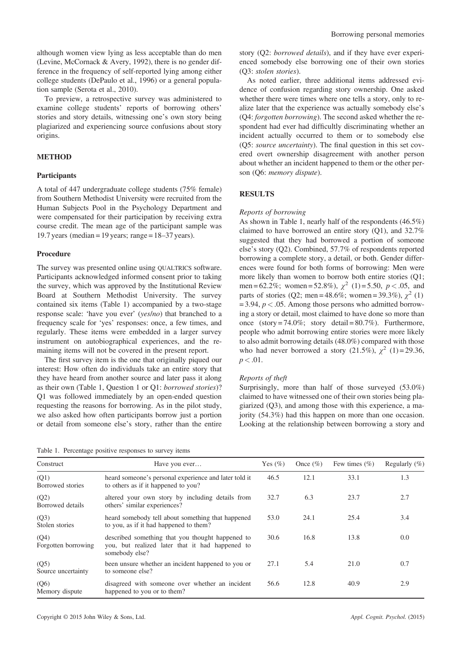although women view lying as less acceptable than do men (Levine, McCornack & Avery, 1992), there is no gender difference in the frequency of self-reported lying among either college students (DePaulo et al., 1996) or a general population sample (Serota et al., 2010).

To preview, a retrospective survey was administered to examine college students' reports of borrowing others' stories and story details, witnessing one's own story being plagiarized and experiencing source confusions about story origins.

## **METHOD**

#### **Participants**

A total of 447 undergraduate college students (75% female) from Southern Methodist University were recruited from the Human Subjects Pool in the Psychology Department and were compensated for their participation by receiving extra course credit. The mean age of the participant sample was 19.7 years (median = 19 years; range =  $18-37$  years).

#### Procedure

The survey was presented online using QUALTRICS software. Participants acknowledged informed consent prior to taking the survey, which was approved by the Institutional Review Board at Southern Methodist University. The survey contained six items (Table 1) accompanied by a two-stage response scale: 'have you ever' (yes/no) that branched to a frequency scale for 'yes' responses: once, a few times, and regularly. These items were embedded in a larger survey instrument on autobiographical experiences, and the remaining items will not be covered in the present report.

The first survey item is the one that originally piqued our interest: How often do individuals take an entire story that they have heard from another source and later pass it along as their own (Table 1, Question 1 or Q1: borrowed stories)? Q1 was followed immediately by an open-ended question requesting the reasons for borrowing. As in the pilot study, we also asked how often participants borrow just a portion or detail from someone else's story, rather than the entire

Table 1. Percentage positive responses to survey items

story (Q2: borrowed details), and if they have ever experienced somebody else borrowing one of their own stories (Q3: stolen stories).

As noted earlier, three additional items addressed evidence of confusion regarding story ownership. One asked whether there were times where one tells a story, only to realize later that the experience was actually somebody else's (Q4: forgotten borrowing). The second asked whether the respondent had ever had difficultly discriminating whether an incident actually occurred to them or to somebody else (Q5: source uncertainty). The final question in this set covered overt ownership disagreement with another person about whether an incident happened to them or the other person (Q6: memory dispute).

#### RESULTS

#### Reports of borrowing

As shown in Table 1, nearly half of the respondents (46.5%) claimed to have borrowed an entire story (Q1), and 32.7% suggested that they had borrowed a portion of someone else's story (Q2). Combined, 57.7% of respondents reported borrowing a complete story, a detail, or both. Gender differences were found for both forms of borrowing: Men were more likely than women to borrow both entire stories (Q1; men = 62.2%; women = 52.8%),  $\chi^2$  (1) = 5.50, p < .05, and parts of stories (Q2; men = 48.6%; women = 39.3%),  $\chi^2$  (1)  $= 3.94, p < .05$ . Among those persons who admitted borrowing a story or detail, most claimed to have done so more than once (story = 74.0%; story detail = 80.7%). Furthermore, people who admit borrowing entire stories were more likely to also admit borrowing details (48.0%) compared with those who had never borrowed a story (21.5%),  $\chi^2$  (1)=29.36,  $p < .01$ .

#### Reports of theft

Surprisingly, more than half of those surveyed (53.0%) claimed to have witnessed one of their own stories being plagiarized (Q3), and among those with this experience, a majority (54.3%) had this happen on more than one occasion. Looking at the relationship between borrowing a story and

| Construct                    | Have you ever                                                                                                         | Yes $(\% )$ | Once $(\%)$ | Few times $(\% )$ | Regularly $(\%)$ |
|------------------------------|-----------------------------------------------------------------------------------------------------------------------|-------------|-------------|-------------------|------------------|
| (Q1)<br>Borrowed stories     | heard someone's personal experience and later told it<br>to others as if it happened to you?                          | 46.5        | 12.1        | 33.1              | 1.3              |
| (Q2)<br>Borrowed details     | altered your own story by including details from<br>others' similar experiences?                                      | 32.7        | 6.3         | 23.7              | 2.7              |
| (Q3)<br>Stolen stories       | heard somebody tell about something that happened<br>to you, as if it had happened to them?                           | 53.0        | 24.1        | 25.4              | 3.4              |
| (O4)<br>Forgotten borrowing  | described something that you thought happened to<br>you, but realized later that it had happened to<br>somebody else? | 30.6        | 16.8        | 13.8              | 0.0              |
| (05)<br>Source uncertainty   | been unsure whether an incident happened to you or<br>to someone else?                                                | 27.1        | 5.4         | 21.0              | 0.7              |
| $($ Q6 $)$<br>Memory dispute | disagreed with someone over whether an incident<br>happened to you or to them?                                        | 56.6        | 12.8        | 40.9              | 2.9              |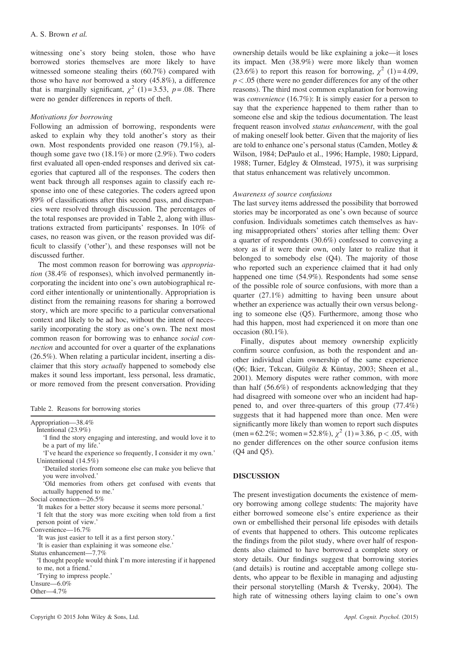witnessing one's story being stolen, those who have borrowed stories themselves are more likely to have witnessed someone stealing theirs (60.7%) compared with those who have not borrowed a story (45.8%), a difference that is marginally significant,  $\chi^2$  (1)=3.53, p=.08. There were no gender differences in reports of theft.

#### Motivations for borrowing

Following an admission of borrowing, respondents were asked to explain why they told another's story as their own. Most respondents provided one reason (79.1%), although some gave two (18.1%) or more (2.9%). Two coders first evaluated all open-ended responses and derived six categories that captured all of the responses. The coders then went back through all responses again to classify each response into one of these categories. The coders agreed upon 89% of classifications after this second pass, and discrepancies were resolved through discussion. The percentages of the total responses are provided in Table 2, along with illustrations extracted from participants' responses. In 10% of cases, no reason was given, or the reason provided was difficult to classify ('other'), and these responses will not be discussed further.

The most common reason for borrowing was appropriation (38.4% of responses), which involved permanently incorporating the incident into one's own autobiographical record either intentionally or unintentionally. Appropriation is distinct from the remaining reasons for sharing a borrowed story, which are more specific to a particular conversational context and likely to be ad hoc, without the intent of necessarily incorporating the story as one's own. The next most common reason for borrowing was to enhance social connection and accounted for over a quarter of the explanations (26.5%). When relating a particular incident, inserting a disclaimer that this story actually happened to somebody else makes it sound less important, less personal, less dramatic, or more removed from the present conversation. Providing

Table 2. Reasons for borrowing stories

| Appropriation-38.4%                                                                  |
|--------------------------------------------------------------------------------------|
| Intentional $(23.9\%)$                                                               |
| If find the story engaging and interesting, and would love it to                     |
| be a part of my life.'                                                               |
| 'I've heard the experience so frequently, I consider it my own.'                     |
| Unintentional $(14.5\%)$                                                             |
| 'Detailed stories from someone else can make you believe that<br>you were involved.' |
|                                                                                      |
| Old memories from others get confused with events that                               |
| actually happened to me.'                                                            |
| Social connection—26.5%                                                              |
| It makes for a better story because it seems more personal.                          |
| If felt that the story was more exciting when told from a first                      |
| person point of view.'                                                               |
| Convenience— $16.7\%$                                                                |
| 'It was just easier to tell it as a first person story.'                             |
| It is easier than explaining it was someone else.                                    |
| Status enhancement—7.7%                                                              |
| If thought people would think I'm more interesting if it happened                    |
| to me, not a friend.'                                                                |
|                                                                                      |
| 'Trying to impress people.'                                                          |
| Unsure $-6.0\%$                                                                      |
| Other— $4.7\%$                                                                       |
|                                                                                      |

ownership details would be like explaining a joke—it loses its impact. Men (38.9%) were more likely than women (23.6%) to report this reason for borrowing,  $\chi^2$  (1)=4.09,  $p < .05$  (there were no gender differences for any of the other reasons). The third most common explanation for borrowing was *convenience* (16.7%): It is simply easier for a person to say that the experience happened to them rather than to someone else and skip the tedious documentation. The least frequent reason involved status enhancement, with the goal of making oneself look better. Given that the majority of lies are told to enhance one's personal status (Camden, Motley & Wilson, 1984; DePaulo et al., 1996; Hample, 1980; Lippard, 1988; Turner, Edgley & Olmstead, 1975), it was surprising that status enhancement was relatively uncommon.

## Awareness of source confusions

The last survey items addressed the possibility that borrowed stories may be incorporated as one's own because of source confusion. Individuals sometimes catch themselves as having misappropriated others' stories after telling them: Over a quarter of respondents (30.6%) confessed to conveying a story as if it were their own, only later to realize that it belonged to somebody else (Q4). The majority of those who reported such an experience claimed that it had only happened one time (54.9%). Respondents had some sense of the possible role of source confusions, with more than a quarter (27.1%) admitting to having been unsure about whether an experience was actually their own versus belonging to someone else (Q5). Furthermore, among those who had this happen, most had experienced it on more than one occasion (80.1%).

Finally, disputes about memory ownership explicitly confirm source confusion, as both the respondent and another individual claim ownership of the same experience (Q6; Ikier, Tekcan, Gülgöz & Küntay, 2003; Sheen et al., 2001). Memory disputes were rather common, with more than half (56.6%) of respondents acknowledging that they had disagreed with someone over who an incident had happened to, and over three-quarters of this group (77.4%) suggests that it had happened more than once. Men were significantly more likely than women to report such disputes (men = 62.2%; women = 52.8%),  $\chi^2$  (1) = 3.86, p < .05, with no gender differences on the other source confusion items (Q4 and Q5).

## **DISCUSSION**

The present investigation documents the existence of memory borrowing among college students: The majority have either borrowed someone else's entire experience as their own or embellished their personal life episodes with details of events that happened to others. This outcome replicates the findings from the pilot study, where over half of respondents also claimed to have borrowed a complete story or story details. Our findings suggest that borrowing stories (and details) is routine and acceptable among college students, who appear to be flexible in managing and adjusting their personal storytelling (Marsh & Tversky, 2004). The high rate of witnessing others laying claim to one's own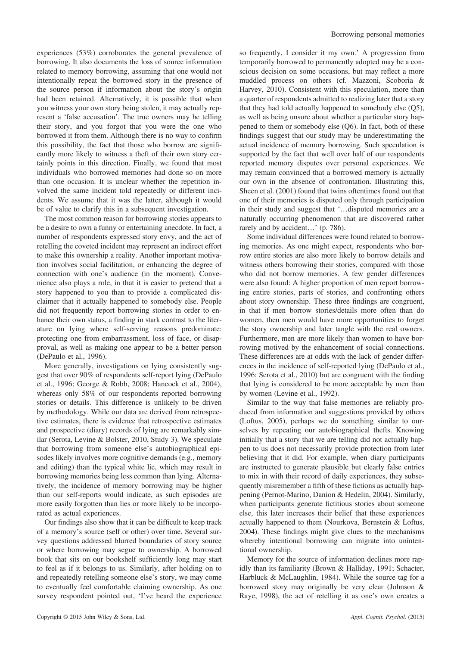experiences (53%) corroborates the general prevalence of borrowing. It also documents the loss of source information related to memory borrowing, assuming that one would not intentionally repeat the borrowed story in the presence of the source person if information about the story's origin had been retained. Alternatively, it is possible that when you witness your own story being stolen, it may actually represent a 'false accusation'. The true owners may be telling their story, and you forgot that you were the one who borrowed it from them. Although there is no way to confirm this possibility, the fact that those who borrow are significantly more likely to witness a theft of their own story certainly points in this direction. Finally, we found that most individuals who borrowed memories had done so on more than one occasion. It is unclear whether the repetition involved the same incident told repeatedly or different incidents. We assume that it was the latter, although it would be of value to clarify this in a subsequent investigation.

The most common reason for borrowing stories appears to be a desire to own a funny or entertaining anecdote. In fact, a number of respondents expressed story envy, and the act of retelling the coveted incident may represent an indirect effort to make this ownership a reality. Another important motivation involves social facilitation, or enhancing the degree of connection with one's audience (in the moment). Convenience also plays a role, in that it is easier to pretend that a story happened to you than to provide a complicated disclaimer that it actually happened to somebody else. People did not frequently report borrowing stories in order to enhance their own status, a finding in stark contrast to the literature on lying where self-serving reasons predominate: protecting one from embarrassment, loss of face, or disapproval, as well as making one appear to be a better person (DePaulo et al., 1996).

More generally, investigations on lying consistently suggest that over 90% of respondents self-report lying (DePaulo et al., 1996; George & Robb, 2008; Hancock et al., 2004), whereas only 58% of our respondents reported borrowing stories or details. This difference is unlikely to be driven by methodology. While our data are derived from retrospective estimates, there is evidence that retrospective estimates and prospective (diary) records of lying are remarkably similar (Serota, Levine & Bolster, 2010, Study 3). We speculate that borrowing from someone else's autobiographical episodes likely involves more cognitive demands (e.g., memory and editing) than the typical white lie, which may result in borrowing memories being less common than lying. Alternatively, the incidence of memory borrowing may be higher than our self-reports would indicate, as such episodes are more easily forgotten than lies or more likely to be incorporated as actual experiences.

Our findings also show that it can be difficult to keep track of a memory's source (self or other) over time. Several survey questions addressed blurred boundaries of story source or where borrowing may segue to ownership. A borrowed book that sits on our bookshelf sufficiently long may start to feel as if it belongs to us. Similarly, after holding on to and repeatedly retelling someone else's story, we may come to eventually feel comfortable claiming ownership. As one survey respondent pointed out, 'I've heard the experience

so frequently, I consider it my own.' A progression from temporarily borrowed to permanently adopted may be a conscious decision on some occasions, but may reflect a more muddled process on others (cf. Mazzoni, Scoboria & Harvey, 2010). Consistent with this speculation, more than a quarter of respondents admitted to realizing later that a story that they had told actually happened to somebody else (Q5), as well as being unsure about whether a particular story happened to them or somebody else (Q6). In fact, both of these findings suggest that our study may be underestimating the actual incidence of memory borrowing. Such speculation is supported by the fact that well over half of our respondents reported memory disputes over personal experiences. We may remain convinced that a borrowed memory is actually our own in the absence of confrontation. Illustrating this, Sheen et al. (2001) found that twins oftentimes found out that one of their memories is disputed only through participation in their study and suggest that '…disputed memories are a naturally occurring phenomenon that are discovered rather rarely and by accident…' (p. 786).

Some individual differences were found related to borrowing memories. As one might expect, respondents who borrow entire stories are also more likely to borrow details and witness others borrowing their stories, compared with those who did not borrow memories. A few gender differences were also found: A higher proportion of men report borrowing entire stories, parts of stories, and confronting others about story ownership. These three findings are congruent, in that if men borrow stories/details more often than do women, then men would have more opportunities to forget the story ownership and later tangle with the real owners. Furthermore, men are more likely than women to have borrowing motived by the enhancement of social connections. These differences are at odds with the lack of gender differences in the incidence of self-reported lying (DePaulo et al., 1996; Serota et al., 2010) but are congruent with the finding that lying is considered to be more acceptable by men than by women (Levine et al., 1992).

Similar to the way that false memories are reliably produced from information and suggestions provided by others (Loftus, 2005), perhaps we do something similar to ourselves by repeating our autobiographical thefts. Knowing initially that a story that we are telling did not actually happen to us does not necessarily provide protection from later believing that it did. For example, when diary participants are instructed to generate plausible but clearly false entries to mix in with their record of daily experiences, they subsequently misremember a fifth of these fictions as actually happening (Pernot-Marino, Danion & Hedelin, 2004). Similarly, when participants generate fictitious stories about someone else, this later increases their belief that these experiences actually happened to them (Nourkova, Bernstein & Loftus, 2004). These findings might give clues to the mechanisms whereby intentional borrowing can migrate into unintentional ownership.

Memory for the source of information declines more rapidly than its familiarity (Brown & Halliday, 1991; Schacter, Harbluck & McLaughlin, 1984). While the source tag for a borrowed story may originally be very clear (Johnson & Raye, 1998), the act of retelling it as one's own creates a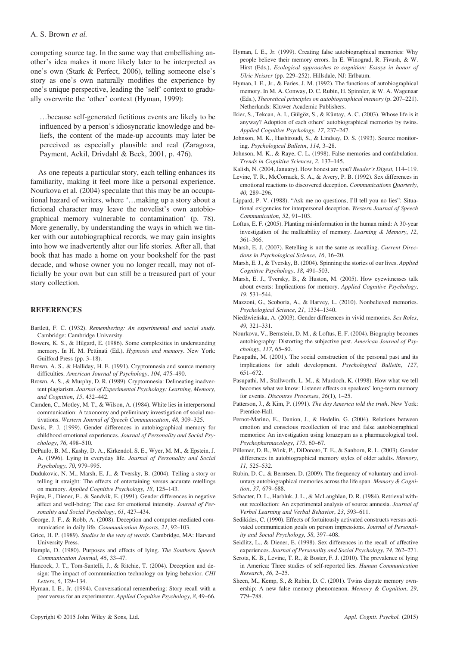competing source tag. In the same way that embellishing another's idea makes it more likely later to be interpreted as one's own (Stark & Perfect, 2006), telling someone else's story as one's own naturally modifies the experience by one's unique perspective, leading the 'self' context to gradually overwrite the 'other' context (Hyman, 1999):

…because self-generated fictitious events are likely to be influenced by a person's idiosyncratic knowledge and beliefs, the content of the made-up accounts may later be perceived as especially plausible and real (Zaragoza, Payment, Ackil, Drivdahl & Beck, 2001, p. 476).

As one repeats a particular story, each telling enhances its familiarity, making it feel more like a personal experience. Nourkova et al. (2004) speculate that this may be an occupational hazard of writers, where '…making up a story about a fictional character may leave the novelist's own autobiographical memory vulnerable to contamination' (p. 78). More generally, by understanding the ways in which we tinker with our autobiographical records, we may gain insights into how we inadvertently alter our life stories. After all, that book that has made a home on your bookshelf for the past decade, and whose owner you no longer recall, may not officially be your own but can still be a treasured part of your story collection.

### **REFERENCES**

- Bartlett, F. C. (1932). Remembering: An experimental and social study. Cambridge: Cambridge University.
- Bowers, K. S., & Hilgard, E. (1986). Some complexities in understanding memory. In H. M. Pettinati (Ed.), Hypnosis and memory. New York: Guilford Press (pp. 3–18).
- Brown, A. S., & Halliday, H. E. (1991). Cryptomnesia and source memory difficulties. American Journal of Psychology, 104, 475–490.
- Brown, A. S., & Murphy, D. R. (1989). Cryptomnesia: Delineating inadvertent plagiarism. Journal of Experimental Psychology: Learning, Memory, and Cognition, 15, 432–442.
- Camden, C., Motley, M. T., & Wilson, A. (1984). White lies in interpersonal communication: A taxonomy and preliminary investigation of social motivations. Western Journal of Speech Communication, 48, 309–325.
- Davis, P. J. (1999). Gender differences in autobiographical memory for childhood emotional experiences. Journal of Personality and Social Psychology, 76, 498–510.
- DePaulo, B. M., Kashy, D. A., Kirkendol, S. E., Wyer, M. M., & Epstein, J. A. (1996). Lying in everyday life. Journal of Personality and Social Psychology, 70, 979–995.
- Dudukovic, N. M., Marsh, E. J., & Tversky, B. (2004). Telling a story or telling it straight: The effects of entertaining versus accurate retellings on memory. Applied Cognitive Psychology, 18, 125–143.
- Fujita, F., Diener, E., & Sandvik, E. (1991). Gender differences in negative affect and well-being: The case for emotional intensity. Journal of Personality and Social Psychology, 61, 427–434.
- George, J. F., & Robb, A. (2008). Deception and computer-mediated communication in daily life. Communication Reports, 21, 92–103.
- Grice, H. P. (1989). Studies in the way of words. Cambridge, MA: Harvard University Press.
- Hample, D. (1980). Purposes and effects of lying. The Southern Speech Communication Journal, 46, 33–47.
- Hancock, J. T., Tom-Santelli, J., & Ritchie, T. (2004). Deception and design: The impact of communication technology on lying behavior. CHI Letters, 6, 129–134.
- Hyman, I. E., Jr. (1994). Conversational remembering: Story recall with a peer versus for an experimenter. Applied Cognitive Psychology, 8, 49–66.
- Hyman, I. E., Jr. (1999). Creating false autobiographical memories: Why people believe their memory errors. In E. Winograd, R. Fivush, & W. Hirst (Eds.), Ecological approaches to cognition: Essays in honor of Ulric Neisser (pp. 229–252). Hillsdale, NJ: Erlbaum.
- Hyman, I. E., Jr., & Faries, J. M. (1992). The functions of autobiographical memory. In M. A. Conway, D. C. Rubin, H. Spinnler, & W. A. Wagenaar (Eds.), Theoretical principles on autobiographical memory (p. 207–221). Netherlands: Kluwer Academic Publishers.
- Ikier, S., Tekcan, A. I., Gülgöz, S., & Küntay, A. C. (2003). Whose life is it anyway? Adoption of each others' autobiographical memories by twins. Applied Cognitive Psychology, 17, 237–247.
- Johnson, M. K., Hashtroudi, S., & Lindsay, D. S. (1993). Source monitoring. Psychological Bulletin, 114, 3–28.
- Johnson, M. K., & Raye, C. L. (1998). False memories and confabulation. Trends in Cognitive Sciences, 2, 137–145.
- Kalish, N. (2004, January). How honest are you? Reader's Digest, 114–119.
- Levine, T. R., McCornack, S. A., & Avery, P. B. (1992). Sex differences in emotional reactions to discovered deception. Communications Quarterly, 40, 289–296.
- Lippard, P. V. (1988). "Ask me no questions, I'll tell you no lies": Situational exigencies for interpersonal deception. Western Journal of Speech Communication, 52, 91–103.
- Loftus, E. F. (2005). Planting misinformation in the human mind: A 30-year investigation of the malleability of memory. Learning & Memory, 12, 361–366.
- Marsh, E. J. (2007). Retelling is not the same as recalling. Current Directions in Psychological Science, 16, 16–20.
- Marsh, E. J., & Tversky, B. (2004). Spinning the stories of our lives. Applied Cognitive Psychology, 18, 491–503.
- Marsh, E. J., Tversky, B., & Huston, M. (2005). How eyewitnesses talk about events: Implications for memory. Applied Cognitive Psychology, 19, 531–544.
- Mazzoni, G., Scoboria, A., & Harvey, L. (2010). Nonbelieved memories. Psychological Science, 21, 1334–1340.
- Niedźwieńska, A. (2003). Gender differences in vivid memories. Sex Roles, 49, 321–331.
- Nourkova, V., Bernstein, D. M., & Loftus, E. F. (2004). Biography becomes autobiography: Distorting the subjective past. American Journal of Psychology, 117, 65–80.
- Pasupathi, M. (2001). The social construction of the personal past and its implications for adult development. Psychological Bulletin, 127, 651–672.
- Pasupathi, M., Stallworth, L. M., & Murdoch, K. (1998). How what we tell becomes what we know: Listener effects on speakers' long-term memory for events. Discourse Processes, 26(1), 1–25.
- Patterson, J., & Kim, P. (1991). The day America told the truth. New York: Prentice-Hall.
- Pernot-Marino, E., Danion, J., & Hedelin, G. (2004). Relations between emotion and conscious recollection of true and false autobiographical memories: An investigation using lorazepam as a pharmacological tool. Psychopharmacology, 175, 60–67.
- Pillemer, D. B., Wink, P., DiDonato, T. E., & Sanborn, R. L. (2003). Gender differences in autobiographical memory styles of older adults. Memory, 11, 525–532.
- Rubin, D. C., & Berntsen, D. (2009). The frequency of voluntary and involuntary autobiographical memories across the life span. Memory & Cognition, 37, 679–688.
- Schacter, D. L., Harbluk, J. L., & McLaughlan, D. R. (1984). Retrieval without recollection: An experimental analysis of source amnesia. Journal of Verbal Learning and Verbal Behavior, 23, 593–611.
- Sedikides, C. (1990). Effects of fortuitously activated constructs versus activated communication goals on person impressions. Journal of Personality and Social Psychology, 58, 397–408.
- Seidlitz, L., & Diener, E. (1998). Sex differences in the recall of affective experiences. Journal of Personality and Social Psychology, 74, 262–271.
- Serota, K. B., Levine, T. R., & Boster, F. J. (2010). The prevalence of lying in America: Three studies of self-reported lies. Human Communication Research, 36, 2–25.
- Sheen, M., Kemp, S., & Rubin, D. C. (2001). Twins dispute memory ownership: A new false memory phenomenon. Memory & Cognition, 29, 779–788.